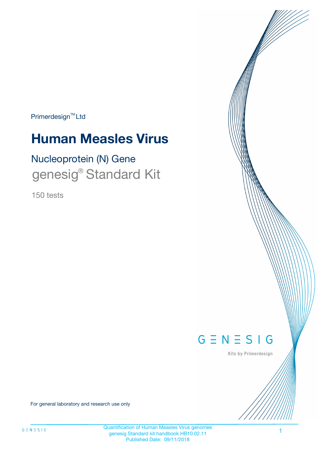Primerdesign<sup>™</sup>Ltd

# **Human Measles Virus**

# Nucleoprotein (N) Gene genesig<sup>®</sup> Standard Kit

150 tests



Kits by Primerdesign

For general laboratory and research use only

Quantification of Human Measles Virus genomes genesig Standard kit handbook HB10.02.11 Published Date: 09/11/2018

1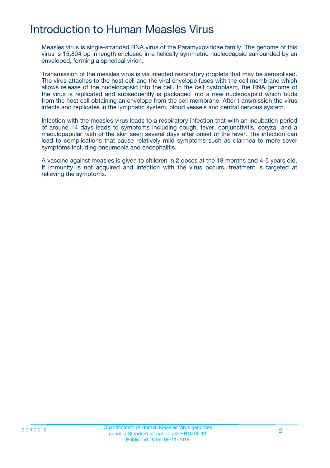# Introduction to Human Measles Virus

Measles virus is single-stranded RNA virus of the Paramyxoviridae family. The genome of this virus is 15,894 bp in length enclosed in a helically symmetric nucleocapsid surrounded by an enveloped, forming a spherical virion.

Transmission of the measles virus is via infected respiratory droplets that may be aerosolised. The virus attaches to the host cell and the viral envelope fuses with the cell membrane which allows release of the nucelocapsid into the cell. In the cell cystoplasm, the RNA genome of the virus is replicated and subsequently is packaged into a new nucleocapsid which buds from the host cell obtaining an envelope from the cell membrane. After transmission the virus infects and replicates in the lymphatic system, blood vessels and central nervous system.

Infection with the measles virus leads to a respiratory infection that with an incubation period of around 14 days leads to symptoms including cough, fever, conjunctivitis, coryza and a maculopapular rash of the skin seen several days after onset of the fever. The infection can lead to complications that cause relatively mild symptoms such as diarrhea to more sever symptoms including pneumonia and encephalitis.

A vaccine against measles is given to children in 2 doses at the 18 months and 4-5 years old. If immunity is not acquired and infection with the virus occurs, treatment is targeted at relieving the symptoms.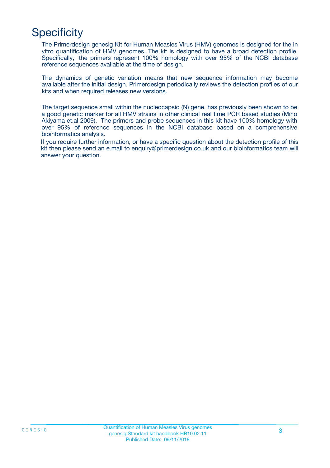# **Specificity**

The Primerdesign genesig Kit for Human Measles Virus (HMV) genomes is designed for the in vitro quantification of HMV genomes. The kit is designed to have a broad detection profile. Specifically, the primers represent 100% homology with over 95% of the NCBI database reference sequences available at the time of design.

The dynamics of genetic variation means that new sequence information may become available after the initial design. Primerdesign periodically reviews the detection profiles of our kits and when required releases new versions.

The target sequence small within the nucleocapsid (N) gene, has previously been shown to be a good genetic marker for all HMV strains in other clinical real time PCR based studies (Miho Akiyama et.al 2009). The primers and probe sequences in this kit have 100% homology with over 95% of reference sequences in the NCBI database based on a comprehensive bioinformatics analysis.

If you require further information, or have a specific question about the detection profile of this kit then please send an e.mail to enquiry@primerdesign.co.uk and our bioinformatics team will answer your question.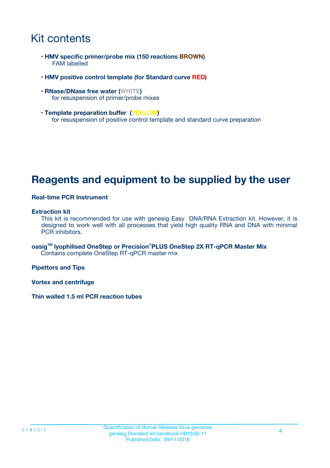## Kit contents

- **HMV specific primer/probe mix (150 reactions BROWN)** FAM labelled
- **HMV positive control template (for Standard curve RED)**
- **RNase/DNase free water (WHITE)** for resuspension of primer/probe mixes
- **Template preparation buffer (YELLOW)** for resuspension of positive control template and standard curve preparation

## **Reagents and equipment to be supplied by the user**

#### **Real-time PCR Instrument**

#### **Extraction kit**

This kit is recommended for use with genesig Easy DNA/RNA Extraction kit. However, it is designed to work well with all processes that yield high quality RNA and DNA with minimal PCR inhibitors.

**oasigTM lyophilised OneStep or Precision**®**PLUS OneStep 2X RT-qPCR Master Mix** Contains complete OneStep RT-qPCR master mix

**Pipettors and Tips**

**Vortex and centrifuge**

**Thin walled 1.5 ml PCR reaction tubes**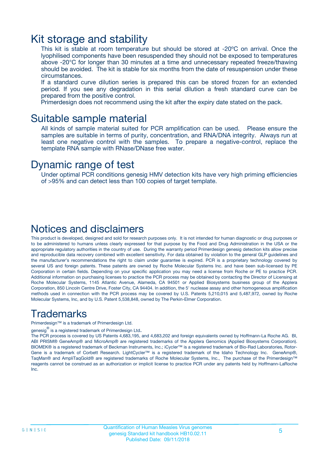### Kit storage and stability

This kit is stable at room temperature but should be stored at -20ºC on arrival. Once the lyophilised components have been resuspended they should not be exposed to temperatures above -20°C for longer than 30 minutes at a time and unnecessary repeated freeze/thawing should be avoided. The kit is stable for six months from the date of resuspension under these circumstances.

If a standard curve dilution series is prepared this can be stored frozen for an extended period. If you see any degradation in this serial dilution a fresh standard curve can be prepared from the positive control.

Primerdesign does not recommend using the kit after the expiry date stated on the pack.

### Suitable sample material

All kinds of sample material suited for PCR amplification can be used. Please ensure the samples are suitable in terms of purity, concentration, and RNA/DNA integrity. Always run at least one negative control with the samples. To prepare a negative-control, replace the template RNA sample with RNase/DNase free water.

### Dynamic range of test

Under optimal PCR conditions genesig HMV detection kits have very high priming efficiencies of >95% and can detect less than 100 copies of target template.

### Notices and disclaimers

This product is developed, designed and sold for research purposes only. It is not intended for human diagnostic or drug purposes or to be administered to humans unless clearly expressed for that purpose by the Food and Drug Administration in the USA or the appropriate regulatory authorities in the country of use. During the warranty period Primerdesign genesig detection kits allow precise and reproducible data recovery combined with excellent sensitivity. For data obtained by violation to the general GLP guidelines and the manufacturer's recommendations the right to claim under guarantee is expired. PCR is a proprietary technology covered by several US and foreign patents. These patents are owned by Roche Molecular Systems Inc. and have been sub-licensed by PE Corporation in certain fields. Depending on your specific application you may need a license from Roche or PE to practice PCR. Additional information on purchasing licenses to practice the PCR process may be obtained by contacting the Director of Licensing at Roche Molecular Systems, 1145 Atlantic Avenue, Alameda, CA 94501 or Applied Biosystems business group of the Applera Corporation, 850 Lincoln Centre Drive, Foster City, CA 94404. In addition, the 5' nuclease assay and other homogeneous amplification methods used in connection with the PCR process may be covered by U.S. Patents 5,210,015 and 5,487,972, owned by Roche Molecular Systems, Inc, and by U.S. Patent 5,538,848, owned by The Perkin-Elmer Corporation.

### Trademarks

Primerdesign™ is a trademark of Primerdesign Ltd.

genesig $^\circledR$  is a registered trademark of Primerdesign Ltd.

The PCR process is covered by US Patents 4,683,195, and 4,683,202 and foreign equivalents owned by Hoffmann-La Roche AG. BI, ABI PRISM® GeneAmp® and MicroAmp® are registered trademarks of the Applera Genomics (Applied Biosystems Corporation). BIOMEK® is a registered trademark of Beckman Instruments, Inc.; iCycler™ is a registered trademark of Bio-Rad Laboratories, Rotor-Gene is a trademark of Corbett Research. LightCycler™ is a registered trademark of the Idaho Technology Inc. GeneAmp®, TaqMan® and AmpliTaqGold® are registered trademarks of Roche Molecular Systems, Inc., The purchase of the Primerdesign™ reagents cannot be construed as an authorization or implicit license to practice PCR under any patents held by Hoffmann-LaRoche Inc.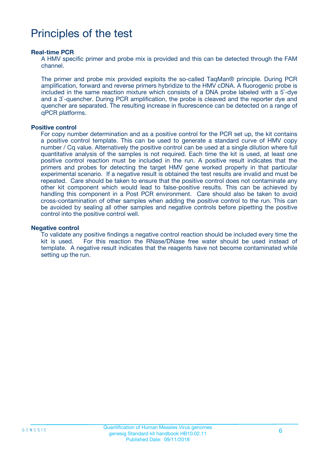# Principles of the test

#### **Real-time PCR**

A HMV specific primer and probe mix is provided and this can be detected through the FAM channel.

The primer and probe mix provided exploits the so-called TaqMan® principle. During PCR amplification, forward and reverse primers hybridize to the HMV cDNA. A fluorogenic probe is included in the same reaction mixture which consists of a DNA probe labeled with a 5`-dye and a 3`-quencher. During PCR amplification, the probe is cleaved and the reporter dye and quencher are separated. The resulting increase in fluorescence can be detected on a range of qPCR platforms.

#### **Positive control**

For copy number determination and as a positive control for the PCR set up, the kit contains a positive control template. This can be used to generate a standard curve of HMV copy number / Cq value. Alternatively the positive control can be used at a single dilution where full quantitative analysis of the samples is not required. Each time the kit is used, at least one positive control reaction must be included in the run. A positive result indicates that the primers and probes for detecting the target HMV gene worked properly in that particular experimental scenario. If a negative result is obtained the test results are invalid and must be repeated. Care should be taken to ensure that the positive control does not contaminate any other kit component which would lead to false-positive results. This can be achieved by handling this component in a Post PCR environment. Care should also be taken to avoid cross-contamination of other samples when adding the positive control to the run. This can be avoided by sealing all other samples and negative controls before pipetting the positive control into the positive control well.

#### **Negative control**

To validate any positive findings a negative control reaction should be included every time the kit is used. For this reaction the RNase/DNase free water should be used instead of template. A negative result indicates that the reagents have not become contaminated while setting up the run.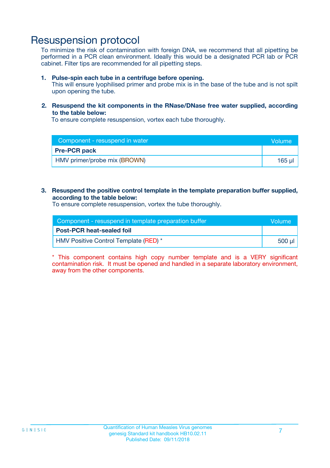### Resuspension protocol

To minimize the risk of contamination with foreign DNA, we recommend that all pipetting be performed in a PCR clean environment. Ideally this would be a designated PCR lab or PCR cabinet. Filter tips are recommended for all pipetting steps.

#### **1. Pulse-spin each tube in a centrifuge before opening.**

This will ensure lyophilised primer and probe mix is in the base of the tube and is not spilt upon opening the tube.

#### **2. Resuspend the kit components in the RNase/DNase free water supplied, according to the table below:**

To ensure complete resuspension, vortex each tube thoroughly.

| Component - resuspend in water | Volume      |
|--------------------------------|-------------|
| <b>Pre-PCR pack</b>            |             |
| HMV primer/probe mix (BROWN)   | $165$ $\mu$ |

#### **3. Resuspend the positive control template in the template preparation buffer supplied, according to the table below:**

To ensure complete resuspension, vortex the tube thoroughly.

| Component - resuspend in template preparation buffer |          |  |
|------------------------------------------------------|----------|--|
| <b>Post-PCR heat-sealed foil</b>                     |          |  |
| HMV Positive Control Template (RED) *                | ่ 500 µl |  |

\* This component contains high copy number template and is a VERY significant contamination risk. It must be opened and handled in a separate laboratory environment, away from the other components.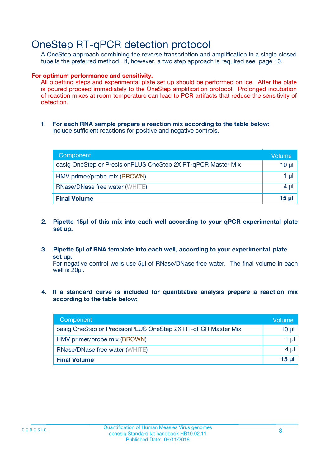## OneStep RT-qPCR detection protocol

A OneStep approach combining the reverse transcription and amplification in a single closed tube is the preferred method. If, however, a two step approach is required see page 10.

#### **For optimum performance and sensitivity.**

All pipetting steps and experimental plate set up should be performed on ice. After the plate is poured proceed immediately to the OneStep amplification protocol. Prolonged incubation of reaction mixes at room temperature can lead to PCR artifacts that reduce the sensitivity of detection.

**1. For each RNA sample prepare a reaction mix according to the table below:** Include sufficient reactions for positive and negative controls.

| Component                                                    | Volumer      |
|--------------------------------------------------------------|--------------|
| oasig OneStep or PrecisionPLUS OneStep 2X RT-qPCR Master Mix | 10 µl        |
| HMV primer/probe mix (BROWN)                                 | 1 µI         |
| <b>RNase/DNase free water (WHITE)</b>                        | 4 µl         |
| <b>Final Volume</b>                                          | <u>15 µl</u> |

- **2. Pipette 15µl of this mix into each well according to your qPCR experimental plate set up.**
- **3. Pipette 5µl of RNA template into each well, according to your experimental plate set up.**

For negative control wells use 5µl of RNase/DNase free water. The final volume in each well is 20ul.

**4. If a standard curve is included for quantitative analysis prepare a reaction mix according to the table below:**

| Component                                                    | Volume  |
|--------------------------------------------------------------|---------|
| oasig OneStep or PrecisionPLUS OneStep 2X RT-qPCR Master Mix | 10 µl   |
| HMV primer/probe mix (BROWN)                                 | 1 µl    |
| <b>RNase/DNase free water (WHITE)</b>                        | $4 \mu$ |
| <b>Final Volume</b>                                          | 15 µl   |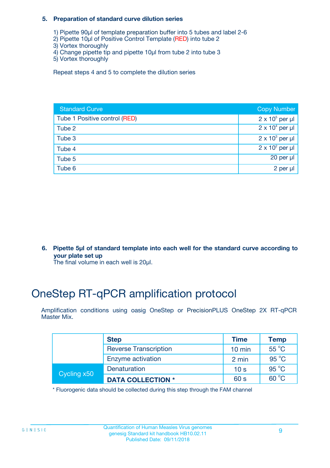#### **5. Preparation of standard curve dilution series**

- 1) Pipette 90µl of template preparation buffer into 5 tubes and label 2-6
- 2) Pipette 10µl of Positive Control Template (RED) into tube 2
- 3) Vortex thoroughly
- 4) Change pipette tip and pipette 10µl from tube 2 into tube 3
- 5) Vortex thoroughly

Repeat steps 4 and 5 to complete the dilution series

| <b>Standard Curve</b>         | <b>Copy Number</b>     |
|-------------------------------|------------------------|
| Tube 1 Positive control (RED) | $2 \times 10^5$ per µl |
| Tube 2                        | $2 \times 10^4$ per µl |
| Tube 3                        | $2 \times 10^3$ per µl |
| Tube 4                        | $2 \times 10^2$ per µl |
| Tube 5                        | 20 per $\mu$           |
| Tube 6                        | 2 per µl               |

**6. Pipette 5µl of standard template into each well for the standard curve according to your plate set up**

The final volume in each well is 20ul.

# OneStep RT-qPCR amplification protocol

Amplification conditions using oasig OneStep or PrecisionPLUS OneStep 2X RT-qPCR Master Mix.

|             | <b>Step</b>                  | <b>Time</b>      | <b>Temp</b>    |
|-------------|------------------------------|------------------|----------------|
|             | <b>Reverse Transcription</b> | $10 \text{ min}$ | $55^{\circ}$ C |
|             | Enzyme activation            | 2 min            | $95^{\circ}$ C |
| Cycling x50 | Denaturation                 | 10 <sub>s</sub>  | $95^{\circ}$ C |
|             | <b>DATA COLLECTION *</b>     | 60 s             | $60^{\circ}$ C |

\* Fluorogenic data should be collected during this step through the FAM channel